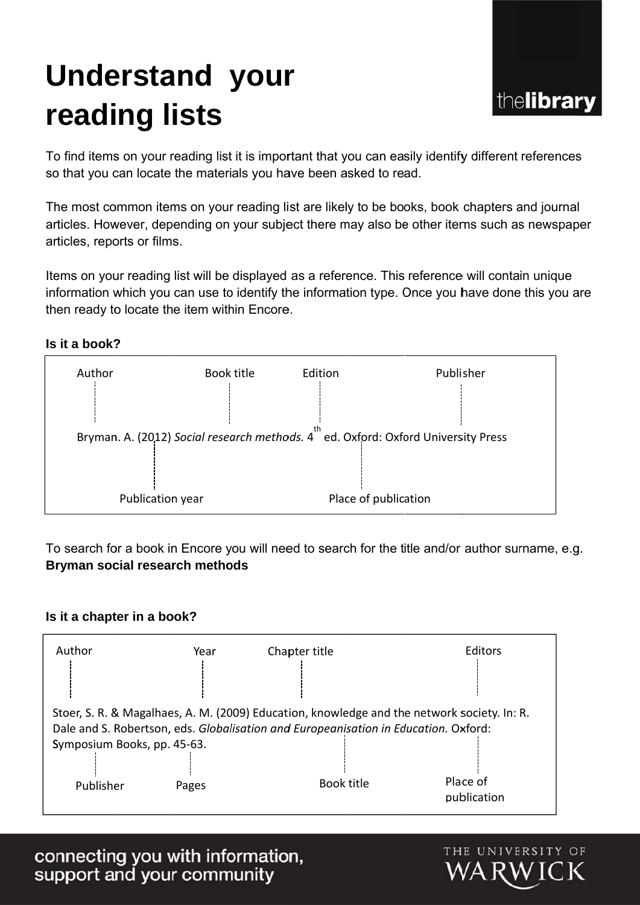# **Understand your reading lists**



To find items on your reading list it is important that you can easily identify different references so that you can locate the materials you have been asked to read.

The most common items on your reading list are likely to be books, book chapters and journal articles. However, depending on your subject there may also be other items such as newspaper articles, reports or films.

Items on your reading list will be displayed as a reference. This reference will contain unique information which you can use to identify the information type. Once you have done this you are then ready to locate the item within Encore.

### **Is it a book?**



To search for a book in Encore you will need to search for the title and/or author surname, e.g. **Bryman social research methods** 

### **Is it a chapter in a book?**

| Author                                                                                      | Year  | Chapter title | <b>Editors</b> |
|---------------------------------------------------------------------------------------------|-------|---------------|----------------|
|                                                                                             |       |               |                |
| Stoer, S. R. & Magalhaes, A. M. (2009) Education, knowledge and the network society. In: R. |       |               |                |
| Dale and S. Robertson, eds. Globalisation and Europeanisation in Education. Oxford:         |       |               |                |
| Symposium Books, pp. 45-63.                                                                 |       |               |                |
|                                                                                             |       |               |                |
| Publisher                                                                                   | Pages | Book title    | Place of       |
|                                                                                             |       |               | publication    |

connecting you with information,<br>support and your community

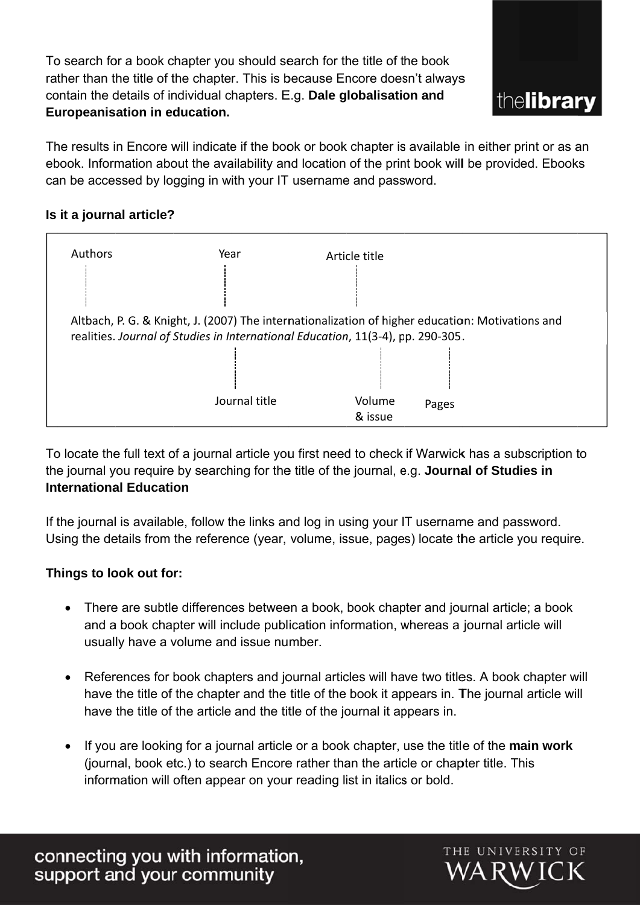To search for a book chapter you should search for the title of the book rather than the title of the chapter. This is because Encore doesn't always contain the details of individual chapters. E.g. **Dale globalisation and Europeanis ation in education.** 



The results in Encore will indicate if the book or book chapter is available in either print or as an ebook. Information about the availability and location of the print book will be provided. Ebooks can be accessed by logging in with your IT username and password.

## **Is it a journal article?**



To locate the full text of a journal article you first need to check if Warwick has a subscription to the journal you require by searching for the title of the journal, e.g. **Journal of Studies in International Education** 

If the journal is available, follow the links and log in using your IT username and password. Using the details from the reference (year, volume, issue, pages) locate the article you require.

### **Things to look out for:**

- There are subtle differences between a book, book chapter and journal article; a book and a book chapter will include publication information, whereas a journal article will usually have a volume and issue number.
- References for book chapters and journal articles will have two titles. A book chapter will have the title of the chapter and the title of the book it appears in. The journal article will have the title of the article and the title of the journal it appears in.
- If you are looking for a journal article or a book chapter, use the title of the main work (journal, book etc.) to search Encore rather than the article or chapter title. This information will often appear on your reading list in italics or bold.

connecting you with information,<br>support and your community